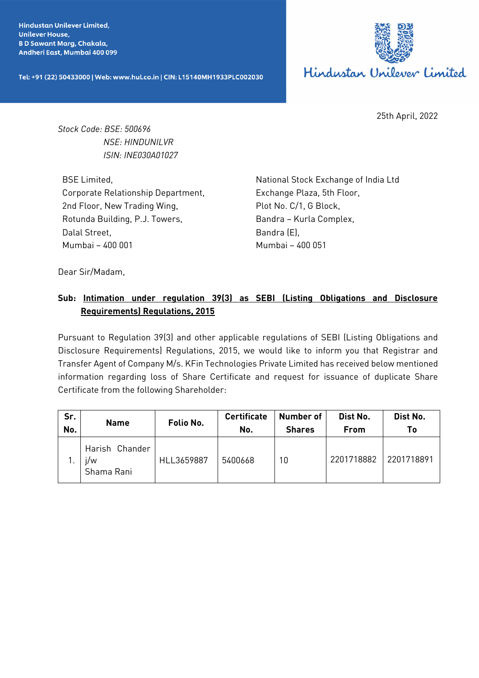**Hindustan Unilever Limited. Unilever House, BD Sawant Marg, Chakala,** Andheri East, Mumbai 400 099

Tel: +91 (22) 50433000 | Web: www.hul.co.in | CIN: L15140MH1933PLC002030



25th April, 2022

*Stock Code: BSE: 500696 NSE: HINDUNILVR ISIN: INE030A01027*

BSE Limited, Corporate Relationship Department, 2nd Floor, New Trading Wing, Rotunda Building, P.J. Towers, Dalal Street, Mumbai – 400 001

National Stock Exchange of India Ltd Exchange Plaza, 5th Floor, Plot No. C/1, G Block, Bandra – Kurla Complex, Bandra (E), Mumbai – 400 051

Dear Sir/Madam,

## **Sub: Intimation under regulation 39(3) as SEBI (Listing Obligations and Disclosure Requirements) Regulations, 2015**

Pursuant to Regulation 39(3) and other applicable regulations of SEBI (Listing Obligations and Disclosure Requirements) Regulations, 2015, we would like to inform you that Registrar and Transfer Agent of Company M/s. KFin Technologies Private Limited has received below mentioned information regarding loss of Share Certificate and request for issuance of duplicate Share Certificate from the following Shareholder:

| Sr.<br>No. | <b>Name</b>                         | Folio No.  | <b>Certificate</b><br>No. | Number of<br><b>Shares</b> | Dist No.<br>From | Dist No.<br>T٥ |
|------------|-------------------------------------|------------|---------------------------|----------------------------|------------------|----------------|
|            | Harish Chander<br>j/w<br>Shama Rani | HLL3659887 | 5400668                   | 10                         | 2201718882       | 2201718891     |